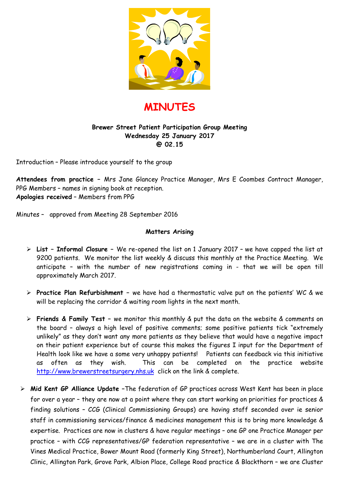



### **Brewer Street Patient Participation Group Meeting Wednesday 25 January 2017 @ 02.15**

Introduction – Please introduce yourself to the group

**Attendees from practice –** Mrs Jane Glancey Practice Manager, Mrs E Coombes Contract Manager, PPG Members – names in signing book at reception. **Apologies received** – Members from PPG

Minutes – approved from Meeting 28 September 2016

#### **Matters Arising**

- **List Informal Closure** We re-opened the list on 1 January 2017 we have capped the list at 9200 patients. We monitor the list weekly & discuss this monthly at the Practice Meeting. We anticipate – with the number of new registrations coming in - that we will be open till approximately March 2017.
- **Practice Plan Refurbishment** we have had a thermostatic valve put on the patients' WC & we will be replacing the corridor & waiting room lights in the next month.
- **Friends & Family Test** we monitor this monthly & put the data on the website & comments on the board – always a high level of positive comments; some positive patients tick "extremely unlikely" as they don't want any more patients as they believe that would have a negative impact on their patient experience but of course this makes the figures I input for the Department of Health look like we have a some very unhappy patients! Patients can feedback via this initiative as often as they wish. This can be completed on the practice website http://www.brewerstreetsurgery.nhs.uk click on the link & complete.
- **Mid Kent GP Alliance Update –**The federation of GP practices across West Kent has been in place for over a year – they are now at a point where they can start working on priorities for practices & finding solutions – CCG (Clinical Commissioning Groups) are having staff seconded over ie senior staff in commissioning services/finance & medicines management this is to bring more knowledge & expertise. Practices are now in clusters & have regular meetings – one GP one Practice Manager per practice – with CCG representatives/GP federation representative – we are in a cluster with The Vines Medical Practice, Bower Mount Road (formerly King Street), Northumberland Court, Allington Clinic, Allington Park, Grove Park, Albion Place, College Road practice & Blackthorn – we are Cluster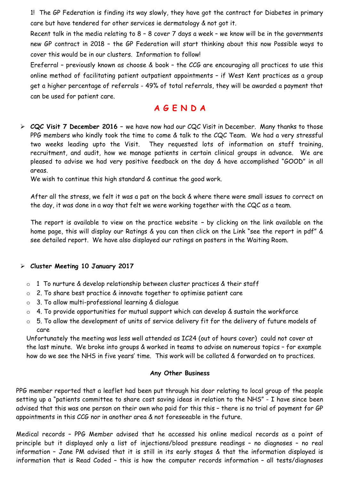1! The GP Federation is finding its way slowly, they have got the contract for Diabetes in primary care but have tendered for other services ie dermatology & not got it.

Recent talk in the media relating to 8 – 8 cover 7 days a week – we know will be in the governments new GP contract in 2018 – the GP Federation will start thinking about this now Possible ways to cover this would be in our clusters. Information to follow!

Ereferral – previously known as choose & book – the CCG are encouraging all practices to use this online method of facilitating patient outpatient appointments – if West Kent practices as a group get a higher percentage of referrals - 49% of total referrals, they will be awarded a payment that can be used for patient care.

## **A G E N D A**

 **CQC Visit 7 December 2016 –** we have now had our CQC Visit in December. Many thanks to those PPG members who kindly took the time to come & talk to the CQC Team. We had a very stressful two weeks leading upto the Visit. They requested lots of information on staff training, recruitment, and audit, how we manage patients in certain clinical groups in advance. We are pleased to advise we had very positive feedback on the day & have accomplished "GOOD" in all areas.

We wish to continue this high standard & continue the good work.

After all the stress, we felt it was a pat on the back & where there were small issues to correct on the day, it was done in a way that felt we were working together with the CQC as a team.

The report is available to view on the practice website **–** by clicking on the link available on the home page, this will display our Ratings & you can then click on the Link "see the report in pdf" & see detailed report. We have also displayed our ratings on posters in the Waiting Room.

### **Cluster Meeting 10 January 2017**

- o 1 To nurture & develop relationship between cluster practices & their staff
- o 2. To share best practice & innovate together to optimise patient care
- o 3. To allow multi-professional learning & dialogue
- $\circ$  4. To provide opportunities for mutual support which can develop & sustain the workforce
- o 5. To allow the development of units of service delivery fit for the delivery of future models of care

Unfortunately the meeting was less well attended as IC24 (out of hours cover) could not cover at the last minute. We broke into groups & worked in teams to advise on numerous topics – for example how do we see the NHS in five years' time. This work will be collated & forwarded on to practices.

#### **Any Other Business**

PPG member reported that a leaflet had been put through his door relating to local group of the people setting up a "patients committee to share cost saving ideas in relation to the NHS" - I have since been advised that this was one person on their own who paid for this this – there is no trial of payment for GP appointments in this CCG nor in another area & not foreseeable in the future.

Medical records – PPG Member advised that he accessed his online medical records as a point of principle but it displayed only a list of injections/blood pressure readings – no diagnoses – no real information – Jane PM advised that it is still in its early stages & that the information displayed is information that is Read Coded – this is how the computer records information – all tests/diagnoses